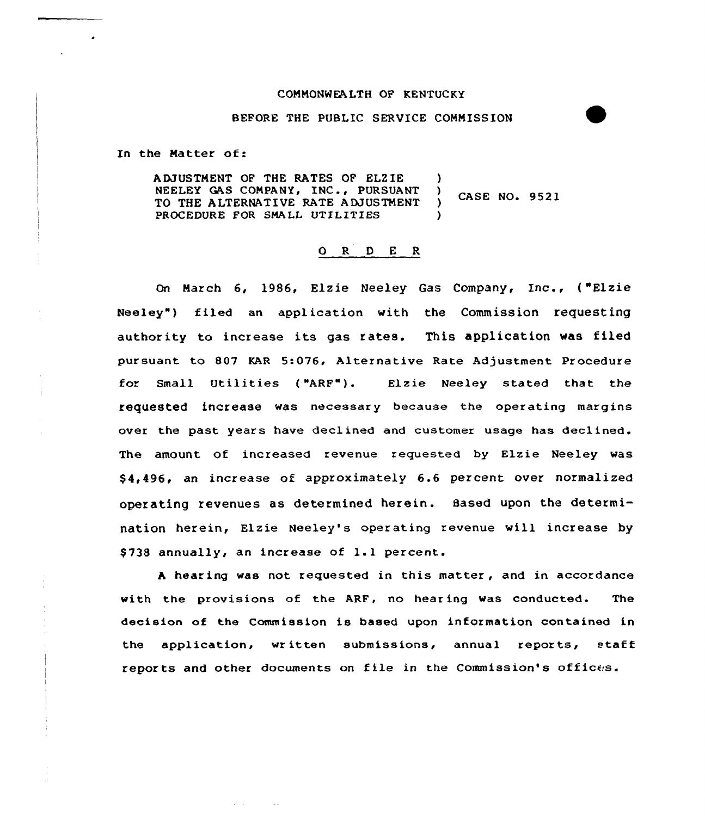### COMMONWEALTH OF KENTUCKY

### BEFORE THE PUBLIC SERVICE CONNISS ION

In the Matter of:

ADJUSTMENT OF THE RATES OF ELZIE )<br>NEELEY GAS COMPANY, INC., PURSUANT ) NEELEY GAS COMPANY, INC., PURSUANT )<br>TO THE ALTERNATIVE RATE ADJUSTMENT ) **CASE NO. 9521** TO THE ALTERNATIVE RATE ADJUSTMENT PROCEDURE FOR SMALL UTILITIES

## ORDER

On March 6, 1986, Elzie Neeley Gas Company, Inc., {"Elzie Neeley") filed an application with the Commission requesting authority to increase its gas rates. This application was filed pursuant to 807 KAR 5:076, Alternative Rate Adjustment Procedure for Small Utilities ("ARF"). Elzie Neeley stated that the requested increase was necessary because the operating margins over the past years have declined and customer usage has declined. The amount of increased revenue requested by Elzie Neeley was \$ 4,496, an increase of approximately 6.6 percent over normalized operating revenues as determined herein. Based upon the determination herein, Elzie Neeley's operating revenue will increase by \$738 annually, an increase of 1.1 percent.

<sup>A</sup> hear ing was not requested in this matter, and in accordance with the provisions of the ARF, no hearing was conducted. The decision of the Commission is based upon information contained in the application, written submissions, annual reports, staff reports and other documents on file in the Commission's offices.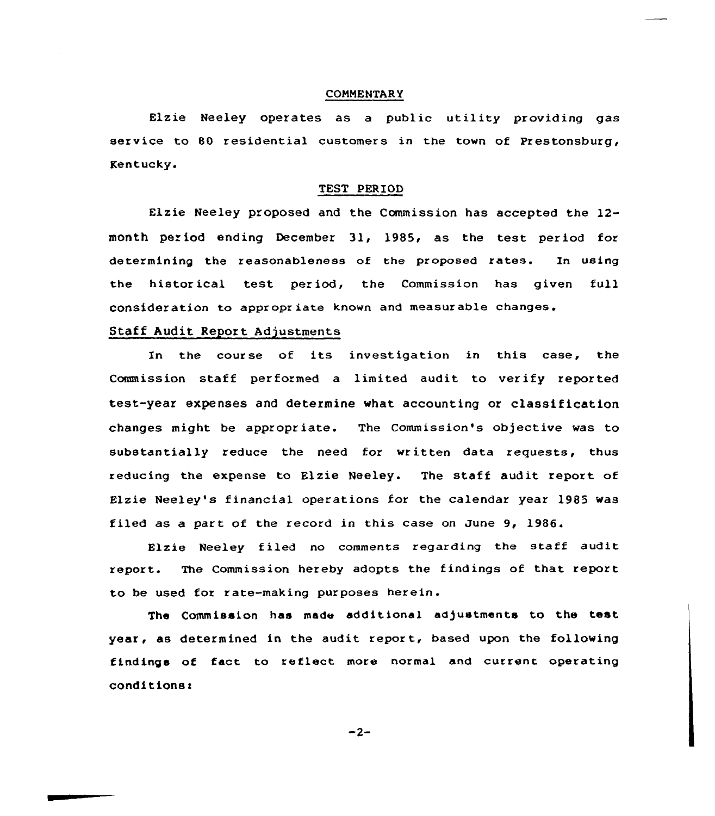## **COMMENTARY**

Elzie Neeley operates as <sup>a</sup> public utility providing gas service to 80 residential customers in the town of Prestonsburg, Kentucky.

#### TEST PERIOD

Elzie Neeley proposed and the Commission has accepted the 12 month period ending December 31, 1985, as the test period for determining the reasonableness of the proposed rates. In using the historical test period, the Commission has given full consider ation to appr opr iate known and measur able changes.

## Staff Audit Report Adjustments

Xn the course of its investigation in this case, the Commission staff performed a limited audit to verify reported test-year expenses and determine what accounting or classification changes might be appropriate. The Commission's objective was to substantially reduce the need for written data xequests, thus reducing the expense to Elzie Neeley. The staff audit repoxt of Elzie Neeley's financial operations for the calendar year 1985 was filed as a part of the record in this case on June 9, 1986.

Elzie Neeley filed no comments regarding the staff audit xeport. The Commission hereby adopts the findings of that report to be used for rate-making purposes herein.

The Commission has made additional adjustments to the test year, as determined in the audit report, based upon the following findings of fact to reflect more normal and cuxrent operating  $conditions:$ 

 $-2-$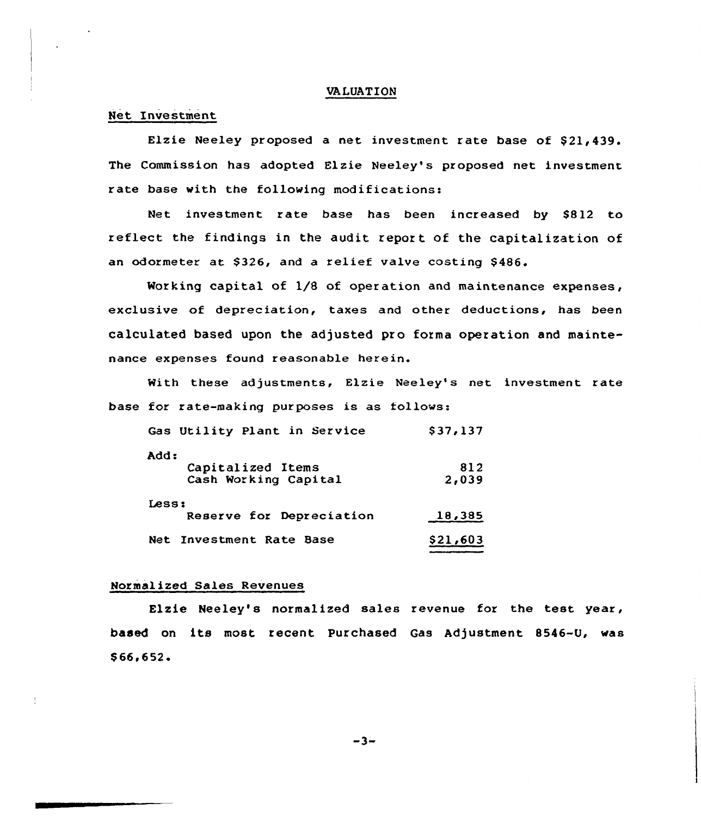### VA LUAT ION

## Net Investment

Elzie Neeley proposed a net investment rate base of \$21,439. The Commission has adopted Elzie Neeley's proposed net investment rate base with the following modifications:

Net investment rate base has been increased by \$812 to reflect the findings in the audit report of the capitalization of an odormeter at \$326, and a relief valve costing \$486.

Working capital of 1/8 of operation and maintenance expenses, exclusive of depreciation, taxes and other deductions, has been calculated based upon the adjusted pro forma operation and maintenance expenses found reasonable herein.

With these adjustments, Elzie Neeley's net investment rate base for rate-making purposes is as follows:

| Gas Utility Plant in Service | \$37,137 |
|------------------------------|----------|
| Add:                         |          |
| Capitalized Items            | 812      |
| Cash Working Capital         | 2,039    |
| Less:                        |          |
| Reserve for Depreciation     | 18,385   |
| Net Investment Rate Base     | \$21,603 |

# Normalized Sales Revenues

Elzie Neeley's normalized sales revenue for the test year, based on its most recent purchased Gas Adjustment 8546-U, was  $$66,652.$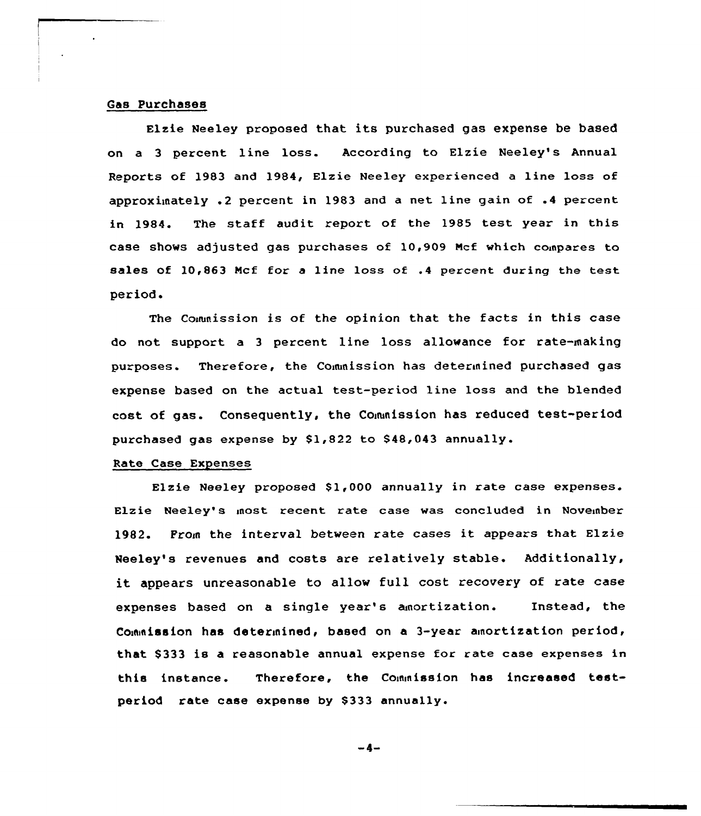## Gas Purchases

Elzie Neeley proposed that its purchased gas expense be based on a <sup>3</sup> percent line loss. According to Elzie Neeley's Annual Reports of 1983 and 1984, Elzie Neeley experienced a line loss of approximately .2 percent in 1983 and a net line gain of .4 percent in 1984. The staff audit report of the 1985 test year in this case shows adjusted gas purchases of 10,909 Ncf which coinpares to sales of 10,863 Ncf for a line loss of .4 percent during the test period.

The Commission is of the opinion that the facts in this case do not support a 3 percent line loss allowance for rate-making purposes. Therefore, the Commission has determined purchased gas expense based on the actual test-period line loss and the blended cost of gas. Consequently, the Commission has reduced test-period purchased gas expense by \$1,822 to 848,043 annually.

## Rate Case Expenses

Elzie Neeley proposed \$1,000 annually in rate case expenses. Elzie Neeley's most recent rate case was concluded in November 1982. From the interval between rate cases it appears that Elzie Neeley's revenues and costs are relatively stable. Additionally, it appears unreasonable to allow full cost recovery of rate case expenses based on a single year's anortization. Instead, the Commission has determined, based on a 3-year amortization period, that \$333 is a reasonable annual expense for rate case expenses in this instance. Therefore, the Commission has increased testperiod rate case expense by \$333 annually.

 $-4-$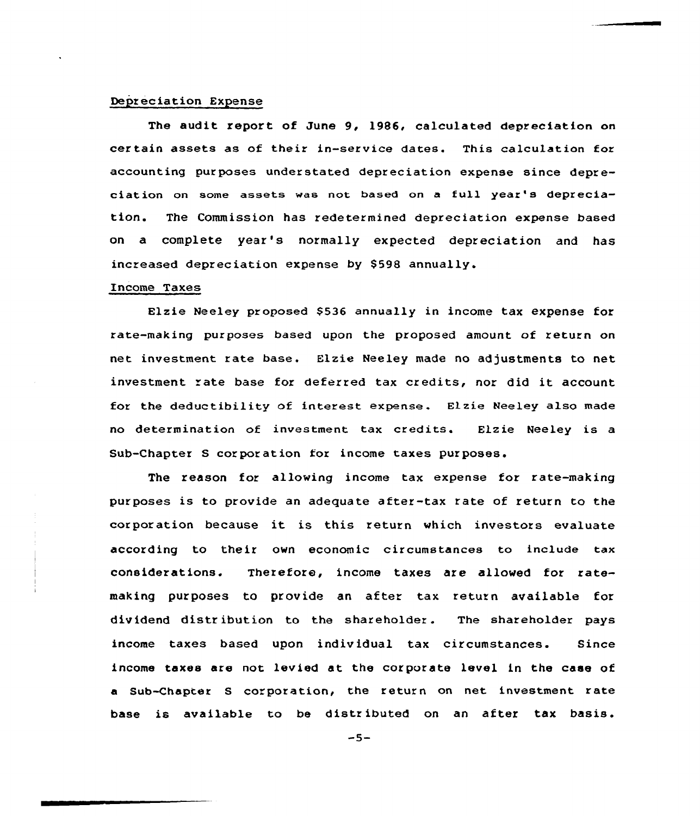### Depreciation Expense

The audit report of June 9, 1986, calculated depreciation on certain assets as of their in-service dates. This calculation for accounting purposes understated depreciation expense since depreciation on some assets was not based on a full year's depreciation. The Commission has redetermined depreciation expense based on a complete year's normally expected depreciation and has increased depreciation expense by S598 annually.

## Income Taxes

Elzie Neeley proposed \$536 annually in income tax expense for rate-making purposes based upon the proposed amount of return on net investment rate base. Elzie Neeley made no adjustments to net investment rate base for deferred tax credits, nor did it account for the deductibility of interest expense. Elzie Neeley also made no determination of investment tax credits. Elzie Neeley is a Sub-Chapter S corporation for income taxes purposes.

The reason for allowing income tax expense for rate-making purposes is to provide an adequate after-tax rate of return to the corporation because it is this return which investors evaluate according to their own economic circumstances to include tax considerations. Therefore, income taxes are allowed for ratemaking purposes to provide an after tax return available for dividend distr ibution to the shareholder . The shareholder pays income taxes based upon individual tax circumstances. Since income taxes are not levied at the corporate level in the case of a Sub-Chapter S corporation, the return on net investment rate base is available to be distributed on an after tax basis.

 $-5-$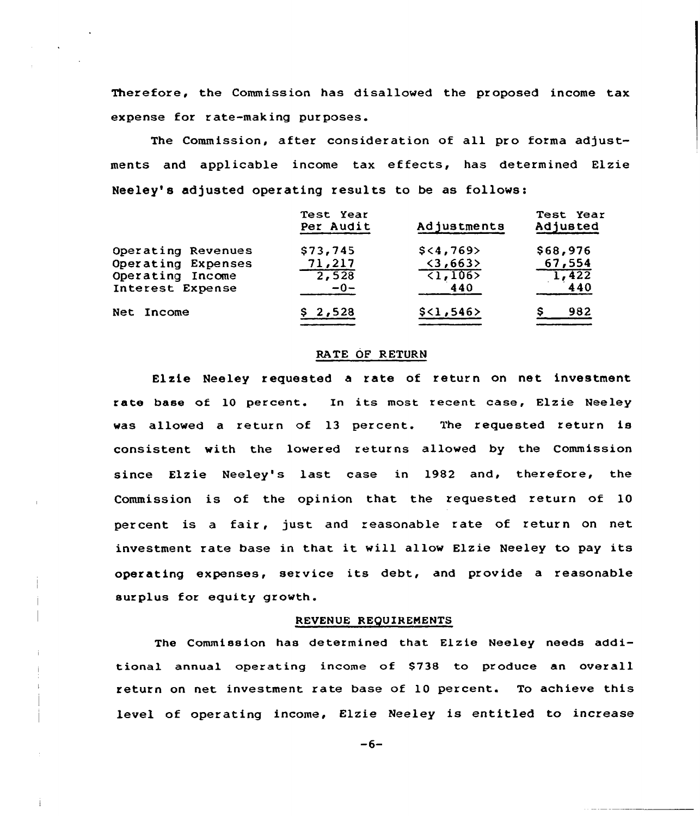Therefore, the Commission has disallowed the pr oposed income tax expense for r ate-mak ing pur poses.

The Commission, after consideration of all pro forma adjustments and applicable income tax effects, has determined Elzie Neeley's adjusted operating results to be as follows:

|                    | Test Year<br>Per Audit | Adjustments              | Test Year<br>Adjusted |
|--------------------|------------------------|--------------------------|-----------------------|
| Operating Revenues | \$73,745               | $$<\,4,769$              | \$68,976              |
| Operating Expenses | 71,217                 | $\langle 3, 663 \rangle$ | 67,554                |
| Operating Income   | $\overline{2,528}$     | $\overline{21,1065}$     | 1,422                 |
| Interest Expense   | $-0-$                  | 440                      | 440                   |
| Net Income         | \$2,528                | \$<1,546>                | 982                   |

#### RATE OP RETURN

Elzie Neeley requested a rate of return on net investment rate base of 10 percent. In its most recent case, Elzie Neeley was allowed a return of 13 percent. The requested return is consistent with the lowered returns allowed by the Commission since Elzie Neeley's last case in 1982 and, therefore, the Commission is of the opinion that, the requested return of 10 percent is <sup>a</sup> fair, just and reasonable rate of return on net. investment rate base in that it will allow Elzie Neeley to pay its operating expenses, service its debt, and provide <sup>a</sup> reasonable surplus for equity growth.

### REVENUE REQUIREMENTS

The Commiasion has determined that Elzie Neeley needs additional annual operating income of \$738 to produce an overall return on net investment rate base of 10 percent. To achieve this level of operating income, Elzie Neeley is entitled to increase

 $-6-$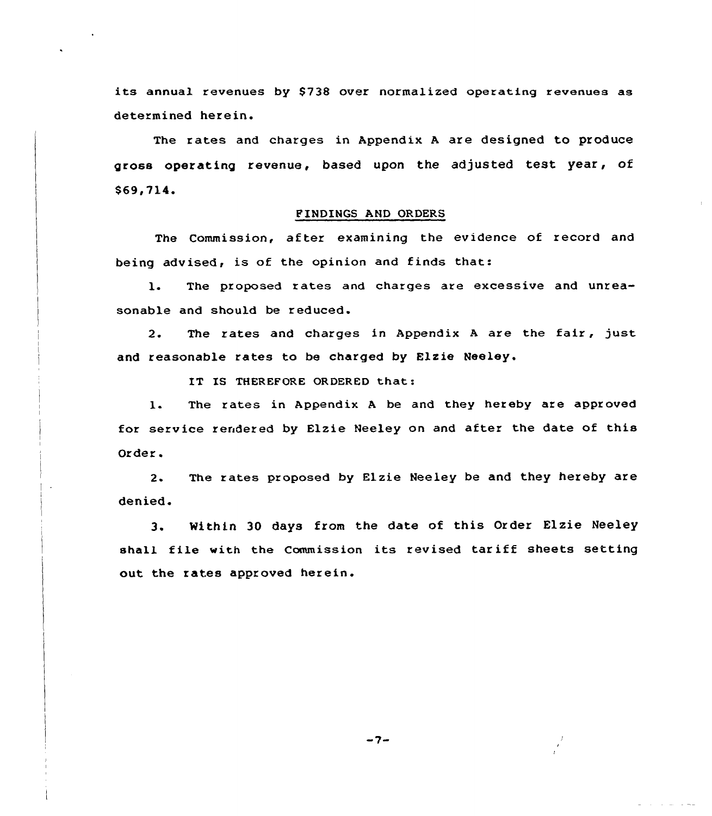its annual revenues by \$73& over normalized operating revenues as determined herein.

The rates and charges in Appendix <sup>A</sup> are designed to produce gross operating revenue, based upon the adjusted test year, of \$69, 714.

### FINDINGS AND ORDERS

The Commission, after examining the evidence of record and being advised, is of the opinion and finds that:

The proposed rates and charges are excessive and unrea-1. sonable and should be reduced.

The rates and charges in Appendix <sup>A</sup> are the fair, just  $2.$ and reasonable rates to be charged by Elzie Neeley.

IT IS THEREFORE ORDERED that:

1. The rates in Appendix <sup>A</sup> be and they hereby are approved for service rendered by Elzie Neeley on and after the date of this Order.

2. The rates proposed by Elzie Neeley be and they hereby are denied.

3. Within 30 days from the date of this Order Elzie Neeley shall file with the Commission its revised tariff sheets setting out the rates approved herein.

 $-7-$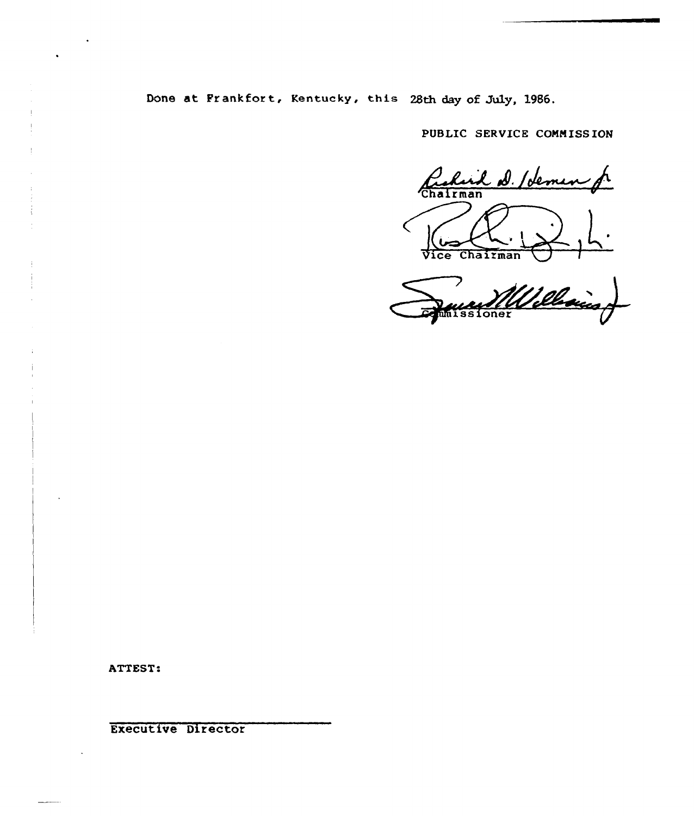Done at Frankfor t, Kentucky, this 28th day of July, 1986.

PUBLIC SERVICE COMMISSION

Richard D. Idemen Vice Chairman

Villellain

ATTEST:

Executive Director